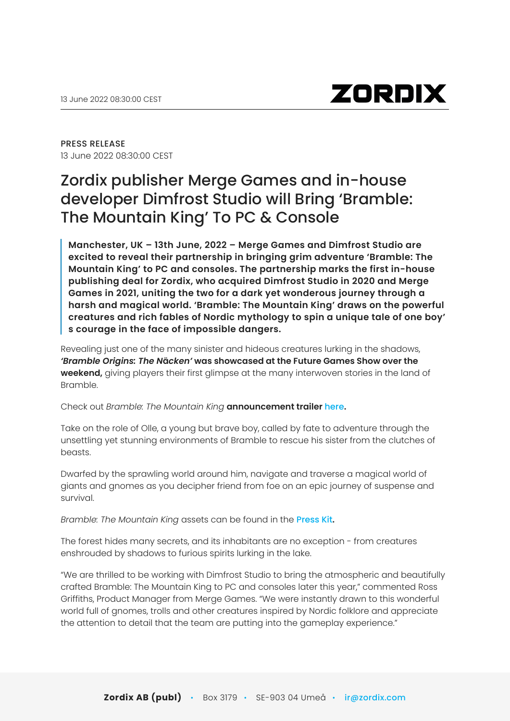

PRESS RELEASE 13 June 2022 08:30:00 CEST

# Zordix publisher Merge Games and in-house developer Dimfrost Studio will Bring 'Bramble: The Mountain King' To PC & Console

**Manchester, UK – 13th June, 2022 – Merge Games and Dimfrost Studio are excited to reveal their partnership in bringing grim adventure 'Bramble: The Mountain King' to PC and consoles. The partnership marks the first in-house publishing deal for Zordix, who acquired Dimfrost Studio in 2020 and Merge Games in 2021, uniting the two for a dark yet wonderous journey through a harsh and magical world. 'Bramble: The Mountain King' draws on the powerful creatures and rich fables of Nordic mythology to spin a unique tale of one boy' s courage in the face of impossible dangers.**

Revealing just one of the many sinister and hideous creatures lurking in the shadows, *'Bramble Origins: The N***ä***cken'* **was showcased at the Future Games Show over the weekend,** giving players their first glimpse at the many interwoven stories in the land of Bramble.

Check out *Bramble: The Mountain King* **announcement trailer** [here](https://youtu.be/ppeAHMtyx8Q)**.**

Take on the role of Olle, a young but brave boy, called by fate to adventure through the unsettling yet stunning environments of Bramble to rescue his sister from the clutches of beasts.

Dwarfed by the sprawling world around him, navigate and traverse a magical world of giants and gnomes as you decipher friend from foe on an epic journey of suspense and survival.

*Bramble: The Mountain King* assets can be found in the [Press Kit](https://www.dropbox.com/sh/6uahbndupxylg6o/AABV6_dKcL03pZfTspq7wRw1a?dl=0)**.**

The forest hides many secrets, and its inhabitants are no exception - from creatures enshrouded by shadows to furious spirits lurking in the lake.

"We are thrilled to be working with Dimfrost Studio to bring the atmospheric and beautifully crafted Bramble: The Mountain King to PC and consoles later this year," commented Ross Griffiths, Product Manager from Merge Games. "We were instantly drawn to this wonderful world full of gnomes, trolls and other creatures inspired by Nordic folklore and appreciate the attention to detail that the team are putting into the gameplay experience."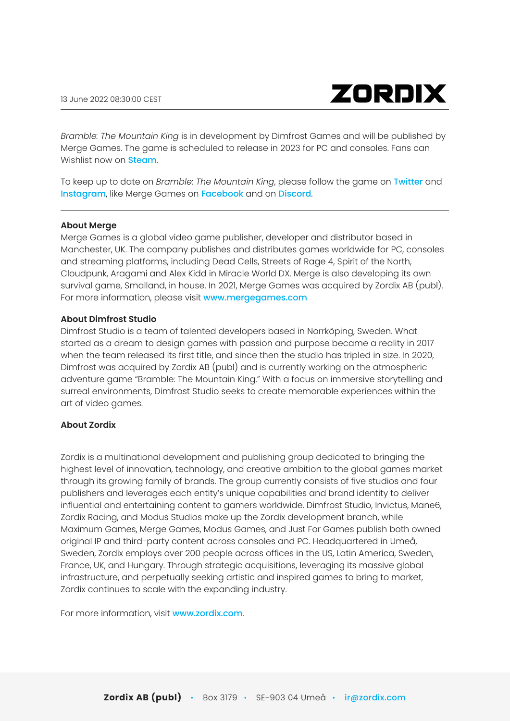

*Bramble: The Mountain King* is in development by Dimfrost Games and will be published by Merge Games. The game is scheduled to release in 2023 for PC and consoles. Fans can Wishlist now on **[Steam](https://store.steampowered.com/app/1623940/Bramble_The_Mountain_King/)**.

To keep up to date on *Bramble: The Mountain King*, please follow the game on [Twitter](https://twitter.com/MergeGamesLtd) and [Instagram](https://www.instagram.com/mergegamesltd/), like Merge Games on [Facebook](https://www.facebook.com/MergeGamesLtd/) and on [Discord](http://discord.gg/mergegames).

#### **About Merge**

Merge Games is a global video game publisher, developer and distributor based in Manchester, UK. The company publishes and distributes games worldwide for PC, consoles and streaming platforms, including Dead Cells, Streets of Rage 4, Spirit of the North, Cloudpunk, Aragami and Alex Kidd in Miracle World DX. Merge is also developing its own survival game, Smalland, in house. In 2021, Merge Games was acquired by Zordix AB (publ). For more information, please visit [www.mergegames.com](http://www.mergegames.com/)

#### **About Dimfrost Studio**

Dimfrost Studio is a team of talented developers based in Norrköping, Sweden. What started as a dream to design games with passion and purpose became a reality in 2017 when the team released its first title, and since then the studio has tripled in size. In 2020, Dimfrost was acquired by Zordix AB (publ) and is currently working on the atmospheric adventure game "Bramble: The Mountain King." With a focus on immersive storytelling and surreal environments, Dimfrost Studio seeks to create memorable experiences within the art of video games.

#### **About Zordix**

Zordix is a multinational development and publishing group dedicated to bringing the highest level of innovation, technology, and creative ambition to the global games market through its growing family of brands. The group currently consists of five studios and four publishers and leverages each entity's unique capabilities and brand identity to deliver influential and entertaining content to gamers worldwide. Dimfrost Studio, Invictus, Mane6, Zordix Racing, and Modus Studios make up the Zordix development branch, while Maximum Games, Merge Games, Modus Games, and Just For Games publish both owned original IP and third-party content across consoles and PC. Headquartered in Umeå, Sweden, Zordix employs over 200 people across offices in the US, Latin America, Sweden, France, UK, and Hungary. Through strategic acquisitions, leveraging its massive global infrastructure, and perpetually seeking artistic and inspired games to bring to market, Zordix continues to scale with the expanding industry.

For more information, visit [www.zordix.com](http://www.zordix.com).